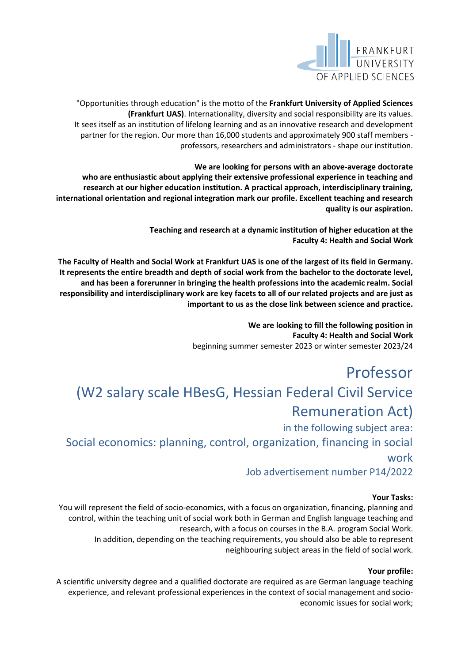

"Opportunities through education" is the motto of the **Frankfurt University of Applied Sciences (Frankfurt UAS)**. Internationality, diversity and social responsibility are its values. It sees itself as an institution of lifelong learning and as an innovative research and development partner for the region. Our more than 16,000 students and approximately 900 staff members professors, researchers and administrators - shape our institution.

**We are looking for persons with an above-average doctorate who are enthusiastic about applying their extensive professional experience in teaching and research at our higher education institution. A practical approach, interdisciplinary training, international orientation and regional integration mark our profile. Excellent teaching and research quality is our aspiration.**

> **Teaching and research at a dynamic institution of higher education at the Faculty 4: Health and Social Work**

**The Faculty of Health and Social Work at Frankfurt UAS is one of the largest of its field in Germany. It represents the entire breadth and depth of social work from the bachelor to the doctorate level, and has been a forerunner in bringing the health professions into the academic realm. Social responsibility and interdisciplinary work are key facets to all of our related projects and are just as important to us as the close link between science and practice.**

> **We are looking to fill the following position in Faculty 4: Health and Social Work** beginning summer semester 2023 or winter semester 2023/24

# Professor

## (W2 salary scale HBesG, Hessian Federal Civil Service Remuneration Act)

in the following subject area:

Social economics: planning, control, organization, financing in social work

Job advertisement number P14/2022

### **Your Tasks:**

You will represent the field of socio-economics, with a focus on organization, financing, planning and control, within the teaching unit of social work both in German and English language teaching and research, with a focus on courses in the B.A. program Social Work. In addition, depending on the teaching requirements, you should also be able to represent neighbouring subject areas in the field of social work.

### **Your profile:**

A scientific university degree and a qualified doctorate are required as are German language teaching experience, and relevant professional experiences in the context of social management and socioeconomic issues for social work;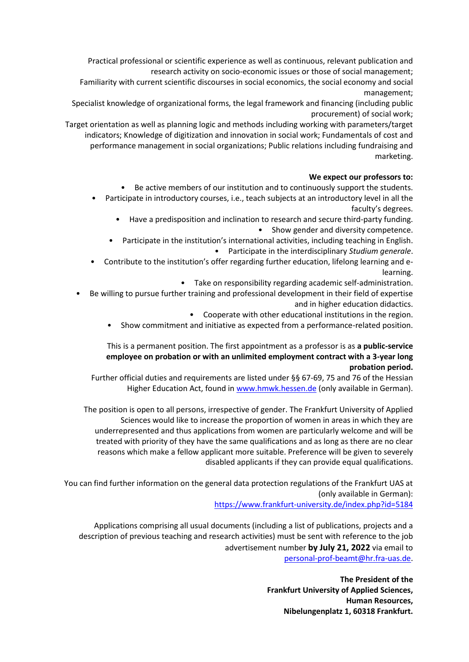Practical professional or scientific experience as well as continuous, relevant publication and research activity on socio-economic issues or those of social management;

Familiarity with current scientific discourses in social economics, the social economy and social management;

Specialist knowledge of organizational forms, the legal framework and financing (including public procurement) of social work;

Target orientation as well as planning logic and methods including working with parameters/target indicators; Knowledge of digitization and innovation in social work; Fundamentals of cost and performance management in social organizations; Public relations including fundraising and marketing.

#### **We expect our professors to:**

• Be active members of our institution and to continuously support the students.

- Participate in introductory courses, i.e., teach subjects at an introductory level in all the faculty's degrees.
	- Have a predisposition and inclination to research and secure third-party funding. • Show gender and diversity competence.
	- Participate in the institution's international activities, including teaching in English. • Participate in the interdisciplinary *Studium generale*.
- Contribute to the institution's offer regarding further education, lifelong learning and elearning.
	- Take on responsibility regarding academic self-administration.
- Be willing to pursue further training and professional development in their field of expertise and in higher education didactics.
	- Cooperate with other educational institutions in the region.
	- Show commitment and initiative as expected from a performance-related position.

#### This is a permanent position. The first appointment as a professor is as **a public-service employee on probation or with an unlimited employment contract with a 3-year long probation period.**

Further official duties and requirements are listed under §§ 67-69, 75 and 76 of the Hessian Higher Education Act, found in [www.hmwk.hessen.de](http://www.hmwk.hessen.de/) (only available in German).

The position is open to all persons, irrespective of gender. The Frankfurt University of Applied Sciences would like to increase the proportion of women in areas in which they are underrepresented and thus applications from women are particularly welcome and will be treated with priority of they have the same qualifications and as long as there are no clear reasons which make a fellow applicant more suitable. Preference will be given to severely disabled applicants if they can provide equal qualifications.

You can find further information on the general data protection regulations of the Frankfurt UAS at (only available in German):

<https://www.frankfurt-university.de/index.php?id=5184>

Applications comprising all usual documents (including a list of publications, projects and a description of previous teaching and research activities) must be sent with reference to the job advertisement number **by July 21, 2022** via email to [personal-prof-beamt@hr.fra-uas.de.](mailto:personal-prof-beamt@hr.fra-uas.de.)

> **The President of the Frankfurt University of Applied Sciences, Human Resources, Nibelungenplatz 1, 60318 Frankfurt.**